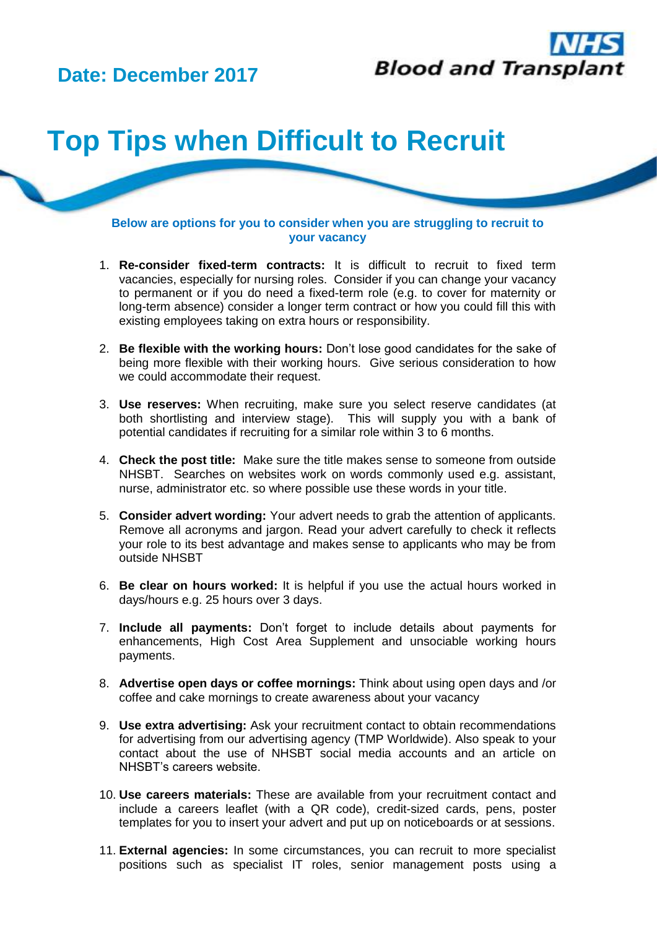## **Date: December 2017**



## **Top Tips when Difficult to Recruit**

**Below are options for you to consider when you are struggling to recruit to your vacancy**

- 1. **Re-consider fixed-term contracts:** It is difficult to recruit to fixed term vacancies, especially for nursing roles. Consider if you can change your vacancy to permanent or if you do need a fixed-term role (e.g. to cover for maternity or long-term absence) consider a longer term contract or how you could fill this with existing employees taking on extra hours or responsibility.
- 2. **Be flexible with the working hours:** Don't lose good candidates for the sake of being more flexible with their working hours. Give serious consideration to how we could accommodate their request.
- 3. **Use reserves:** When recruiting, make sure you select reserve candidates (at both shortlisting and interview stage). This will supply you with a bank of potential candidates if recruiting for a similar role within 3 to 6 months.
- 4. **Check the post title:** Make sure the title makes sense to someone from outside NHSBT. Searches on websites work on words commonly used e.g. assistant, nurse, administrator etc. so where possible use these words in your title.
- 5. **Consider advert wording:** Your advert needs to grab the attention of applicants. Remove all acronyms and jargon. Read your advert carefully to check it reflects your role to its best advantage and makes sense to applicants who may be from outside NHSBT
- 6. **Be clear on hours worked:** It is helpful if you use the actual hours worked in days/hours e.g. 25 hours over 3 days.
- 7. **Include all payments:** Don't forget to include details about payments for enhancements, High Cost Area Supplement and unsociable working hours payments.
- 8. **Advertise open days or coffee mornings:** Think about using open days and /or coffee and cake mornings to create awareness about your vacancy
- 9. **Use extra advertising:** Ask your recruitment contact to obtain recommendations for advertising from our advertising agency (TMP Worldwide). Also speak to your contact about the use of NHSBT social media accounts and an article on NHSBT's careers website.
- 10. **Use careers materials:** These are available from your recruitment contact and include a careers leaflet (with a QR code), credit-sized cards, pens, poster templates for you to insert your advert and put up on noticeboards or at sessions.
- 11. **External agencies:** In some circumstances, you can recruit to more specialist positions such as specialist IT roles, senior management posts using a